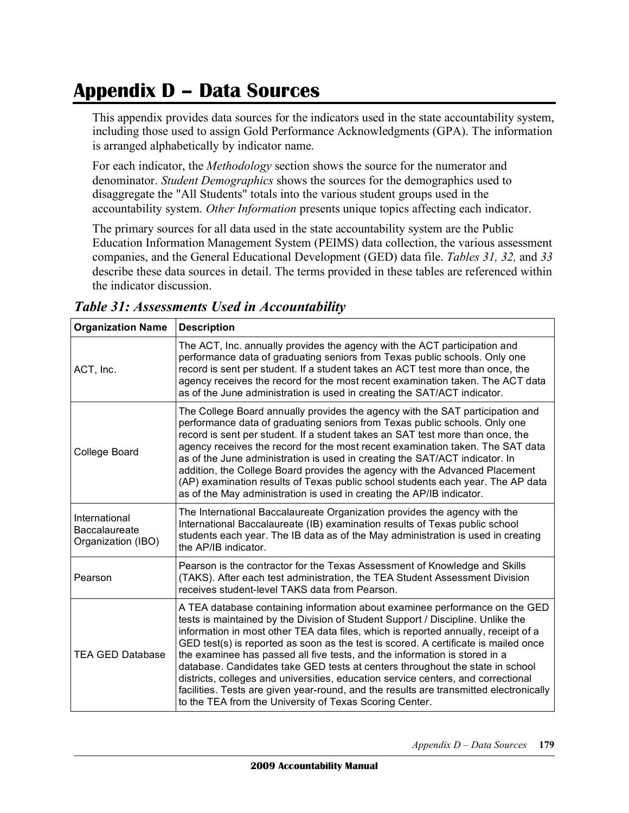# **Appendix D – Data Sources**

 This appendix provides data sources for the indicators used in the state accountability system, including those used to assign Gold Performance Acknowledgments (GPA). The information is arranged alphabetically by indicator name.

 For each indicator, the *Methodology* section shows the source for the numerator and denominator. *Student Demographics* shows the sources for the demographics used to disaggregate the "All Students" totals into the various student groups used in the accountability system. *Other Information* presents unique topics affecting each indicator.

 The primary sources for all data used in the state accountability system are the Public Education Information Management System (PEIMS) data collection, the various assessment companies, and the General Educational Development (GED) data file. *Tables 31, 32,* and *33*  describe these data sources in detail. The terms provided in these tables are referenced within the indicator discussion.

| <b>Organization Name</b>                                                                                                                                                                                                                                                                                                                                                                                                                                                                                                                                                                                                                                                   | <b>Description</b>                                                                                                                                                                                                                                                                                                                                                                                                                                                                                                                                                                                                                                                                                                                                   |
|----------------------------------------------------------------------------------------------------------------------------------------------------------------------------------------------------------------------------------------------------------------------------------------------------------------------------------------------------------------------------------------------------------------------------------------------------------------------------------------------------------------------------------------------------------------------------------------------------------------------------------------------------------------------------|------------------------------------------------------------------------------------------------------------------------------------------------------------------------------------------------------------------------------------------------------------------------------------------------------------------------------------------------------------------------------------------------------------------------------------------------------------------------------------------------------------------------------------------------------------------------------------------------------------------------------------------------------------------------------------------------------------------------------------------------------|
| The ACT, Inc. annually provides the agency with the ACT participation and<br>performance data of graduating seniors from Texas public schools. Only one<br>record is sent per student. If a student takes an ACT test more than once, the<br>ACT, Inc.<br>agency receives the record for the most recent examination taken. The ACT data<br>as of the June administration is used in creating the SAT/ACT indicator.                                                                                                                                                                                                                                                       |                                                                                                                                                                                                                                                                                                                                                                                                                                                                                                                                                                                                                                                                                                                                                      |
| The College Board annually provides the agency with the SAT participation and<br>performance data of graduating seniors from Texas public schools. Only one<br>record is sent per student. If a student takes an SAT test more than once, the<br>agency receives the record for the most recent examination taken. The SAT data<br>College Board<br>as of the June administration is used in creating the SAT/ACT indicator. In<br>addition, the College Board provides the agency with the Advanced Placement<br>(AP) examination results of Texas public school students each year. The AP data<br>as of the May administration is used in creating the AP/IB indicator. |                                                                                                                                                                                                                                                                                                                                                                                                                                                                                                                                                                                                                                                                                                                                                      |
| International<br><b>Baccalaureate</b><br>Organization (IBO)                                                                                                                                                                                                                                                                                                                                                                                                                                                                                                                                                                                                                | The International Baccalaureate Organization provides the agency with the<br>International Baccalaureate (IB) examination results of Texas public school<br>students each year. The IB data as of the May administration is used in creating<br>the AP/IB indicator.                                                                                                                                                                                                                                                                                                                                                                                                                                                                                 |
| Pearson                                                                                                                                                                                                                                                                                                                                                                                                                                                                                                                                                                                                                                                                    | Pearson is the contractor for the Texas Assessment of Knowledge and Skills<br>(TAKS). After each test administration, the TEA Student Assessment Division<br>receives student-level TAKS data from Pearson.                                                                                                                                                                                                                                                                                                                                                                                                                                                                                                                                          |
| <b>TEA GED Database</b>                                                                                                                                                                                                                                                                                                                                                                                                                                                                                                                                                                                                                                                    | A TEA database containing information about examinee performance on the GED<br>tests is maintained by the Division of Student Support / Discipline. Unlike the<br>information in most other TEA data files, which is reported annually, receipt of a<br>GED test(s) is reported as soon as the test is scored. A certificate is mailed once<br>the examinee has passed all five tests, and the information is stored in a<br>database. Candidates take GED tests at centers throughout the state in school<br>districts, colleges and universities, education service centers, and correctional<br>facilities. Tests are given year-round, and the results are transmitted electronically<br>to the TEA from the University of Texas Scoring Center. |

 *Table 31: Assessments Used in Accountability*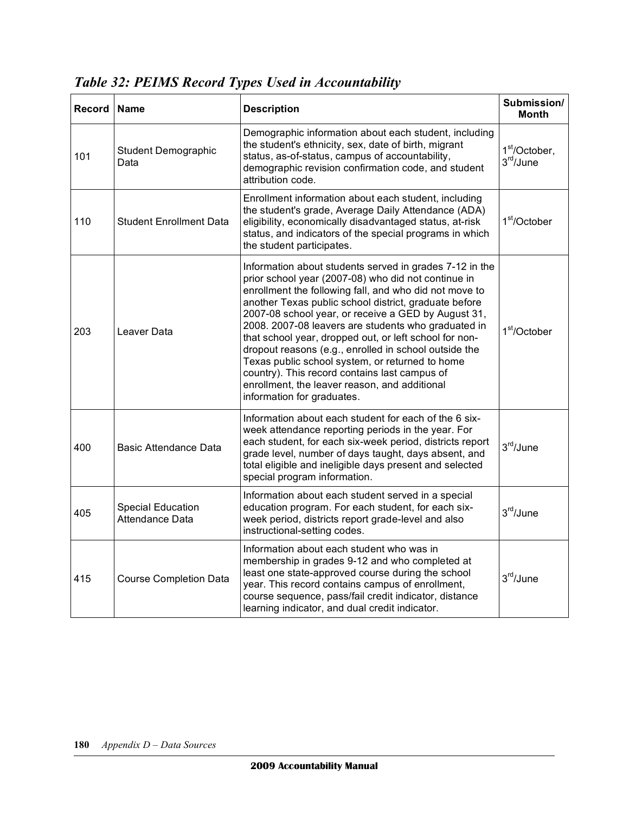| Record | <b>Name</b>                                 | <b>Description</b>                                                                                                                                                                                                                                                                                                                                                                                                                                                                                                                                                                                                                                    | Submission/<br><b>Month</b>                        |
|--------|---------------------------------------------|-------------------------------------------------------------------------------------------------------------------------------------------------------------------------------------------------------------------------------------------------------------------------------------------------------------------------------------------------------------------------------------------------------------------------------------------------------------------------------------------------------------------------------------------------------------------------------------------------------------------------------------------------------|----------------------------------------------------|
| 101    | <b>Student Demographic</b><br>Data          | Demographic information about each student, including<br>the student's ethnicity, sex, date of birth, migrant<br>status, as-of-status, campus of accountability,<br>demographic revision confirmation code, and student<br>attribution code.                                                                                                                                                                                                                                                                                                                                                                                                          | 1 <sup>st</sup> /October,<br>3 <sup>rd</sup> /June |
| 110    | <b>Student Enrollment Data</b>              | Enrollment information about each student, including<br>the student's grade, Average Daily Attendance (ADA)<br>eligibility, economically disadvantaged status, at-risk<br>status, and indicators of the special programs in which<br>the student participates.                                                                                                                                                                                                                                                                                                                                                                                        | 1 <sup>st</sup> /October                           |
| 203    | Leaver Data                                 | Information about students served in grades 7-12 in the<br>prior school year (2007-08) who did not continue in<br>enrollment the following fall, and who did not move to<br>another Texas public school district, graduate before<br>2007-08 school year, or receive a GED by August 31,<br>2008. 2007-08 leavers are students who graduated in<br>that school year, dropped out, or left school for non-<br>dropout reasons (e.g., enrolled in school outside the<br>Texas public school system, or returned to home<br>country). This record contains last campus of<br>enrollment, the leaver reason, and additional<br>information for graduates. | 1 <sup>st</sup> /October                           |
| 400    | Basic Attendance Data                       | Information about each student for each of the 6 six-<br>week attendance reporting periods in the year. For<br>each student, for each six-week period, districts report<br>grade level, number of days taught, days absent, and<br>total eligible and ineligible days present and selected<br>special program information.                                                                                                                                                                                                                                                                                                                            | 3 <sup>rd</sup> /June                              |
| 405    | <b>Special Education</b><br>Attendance Data | Information about each student served in a special<br>education program. For each student, for each six-<br>week period, districts report grade-level and also<br>instructional-setting codes.                                                                                                                                                                                                                                                                                                                                                                                                                                                        | 3rd/June                                           |
| 415    | <b>Course Completion Data</b>               | Information about each student who was in<br>membership in grades 9-12 and who completed at<br>least one state-approved course during the school<br>year. This record contains campus of enrollment,<br>course sequence, pass/fail credit indicator, distance<br>learning indicator, and dual credit indicator.                                                                                                                                                                                                                                                                                                                                       | 3rd/June                                           |

 *Table 32: PEIMS Record Types Used in Accountability*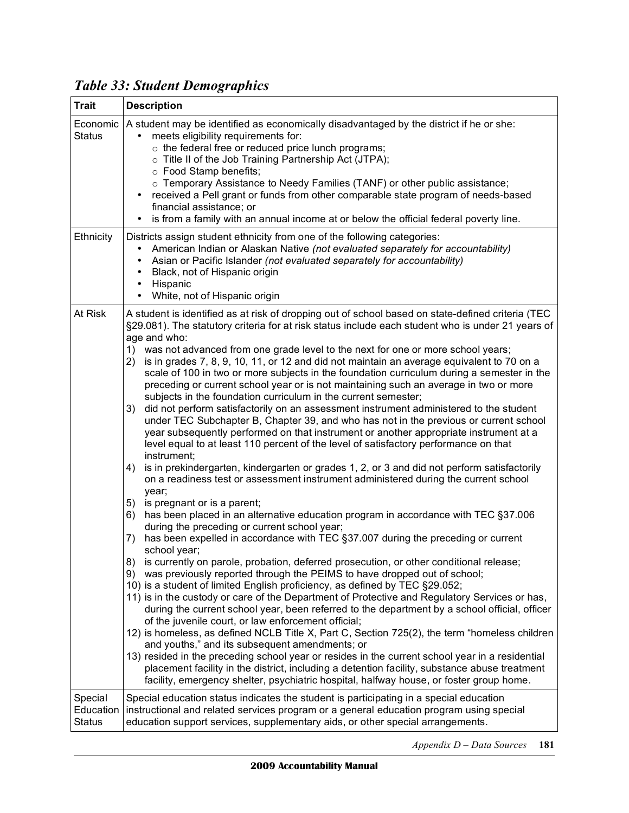| <b>Trait</b>                          | <b>Description</b>                                                                                                                                                                                                                                                                                                                                                                                                                                                                                                                                                                                                                                                                                                                                                                                                                                                                                                                                                                                                                                                                                                                                                                                                                                                                                                                                                                                                                                                                                                                                                                                                                                                                                                                                                                                                                                                                                                                                                                                                                                                                                                                                                                                                                                                                                                                                                                                                                                                                                                                         |  |  |
|---------------------------------------|--------------------------------------------------------------------------------------------------------------------------------------------------------------------------------------------------------------------------------------------------------------------------------------------------------------------------------------------------------------------------------------------------------------------------------------------------------------------------------------------------------------------------------------------------------------------------------------------------------------------------------------------------------------------------------------------------------------------------------------------------------------------------------------------------------------------------------------------------------------------------------------------------------------------------------------------------------------------------------------------------------------------------------------------------------------------------------------------------------------------------------------------------------------------------------------------------------------------------------------------------------------------------------------------------------------------------------------------------------------------------------------------------------------------------------------------------------------------------------------------------------------------------------------------------------------------------------------------------------------------------------------------------------------------------------------------------------------------------------------------------------------------------------------------------------------------------------------------------------------------------------------------------------------------------------------------------------------------------------------------------------------------------------------------------------------------------------------------------------------------------------------------------------------------------------------------------------------------------------------------------------------------------------------------------------------------------------------------------------------------------------------------------------------------------------------------------------------------------------------------------------------------------------------------|--|--|
| Economic<br><b>Status</b>             | A student may be identified as economically disadvantaged by the district if he or she:<br>meets eligibility requirements for:<br>$\circ$ the federal free or reduced price lunch programs;<br>o Title II of the Job Training Partnership Act (JTPA);<br>○ Food Stamp benefits;<br>○ Temporary Assistance to Needy Families (TANF) or other public assistance;<br>received a Pell grant or funds from other comparable state program of needs-based<br>$\bullet$<br>financial assistance; or<br>is from a family with an annual income at or below the official federal poverty line.<br>$\bullet$                                                                                                                                                                                                                                                                                                                                                                                                                                                                                                                                                                                                                                                                                                                                                                                                                                                                                                                                                                                                                                                                                                                                                                                                                                                                                                                                                                                                                                                                                                                                                                                                                                                                                                                                                                                                                                                                                                                                         |  |  |
| Ethnicity                             | Districts assign student ethnicity from one of the following categories:<br>American Indian or Alaskan Native (not evaluated separately for accountability)<br>$\bullet$<br>Asian or Pacific Islander (not evaluated separately for accountability)<br>$\bullet$<br>Black, not of Hispanic origin<br>$\bullet$<br>Hispanic<br>$\bullet$<br>White, not of Hispanic origin<br>$\bullet$                                                                                                                                                                                                                                                                                                                                                                                                                                                                                                                                                                                                                                                                                                                                                                                                                                                                                                                                                                                                                                                                                                                                                                                                                                                                                                                                                                                                                                                                                                                                                                                                                                                                                                                                                                                                                                                                                                                                                                                                                                                                                                                                                      |  |  |
| At Risk                               | A student is identified as at risk of dropping out of school based on state-defined criteria (TEC<br>§29.081). The statutory criteria for at risk status include each student who is under 21 years of<br>age and who:<br>1) was not advanced from one grade level to the next for one or more school years;<br>is in grades 7, 8, 9, 10, 11, or 12 and did not maintain an average equivalent to 70 on a<br>2)<br>scale of 100 in two or more subjects in the foundation curriculum during a semester in the<br>preceding or current school year or is not maintaining such an average in two or more<br>subjects in the foundation curriculum in the current semester;<br>did not perform satisfactorily on an assessment instrument administered to the student<br>3)<br>under TEC Subchapter B, Chapter 39, and who has not in the previous or current school<br>year subsequently performed on that instrument or another appropriate instrument at a<br>level equal to at least 110 percent of the level of satisfactory performance on that<br>instrument;<br>is in prekindergarten, kindergarten or grades 1, 2, or 3 and did not perform satisfactorily<br>4)<br>on a readiness test or assessment instrument administered during the current school<br>year;<br>5) is pregnant or is a parent;<br>has been placed in an alternative education program in accordance with TEC §37.006<br>6)<br>during the preceding or current school year;<br>has been expelled in accordance with TEC §37.007 during the preceding or current<br>7)<br>school year;<br>is currently on parole, probation, deferred prosecution, or other conditional release;<br>8)<br>was previously reported through the PEIMS to have dropped out of school;<br>9)<br>10) is a student of limited English proficiency, as defined by TEC §29.052;<br>11) is in the custody or care of the Department of Protective and Regulatory Services or has,<br>during the current school year, been referred to the department by a school official, officer<br>of the juvenile court, or law enforcement official;<br>12) is homeless, as defined NCLB Title X, Part C, Section 725(2), the term "homeless children<br>and youths," and its subsequent amendments; or<br>13) resided in the preceding school year or resides in the current school year in a residential<br>placement facility in the district, including a detention facility, substance abuse treatment<br>facility, emergency shelter, psychiatric hospital, halfway house, or foster group home. |  |  |
| Special<br>Education<br><b>Status</b> | Special education status indicates the student is participating in a special education<br>instructional and related services program or a general education program using special<br>education support services, supplementary aids, or other special arrangements.                                                                                                                                                                                                                                                                                                                                                                                                                                                                                                                                                                                                                                                                                                                                                                                                                                                                                                                                                                                                                                                                                                                                                                                                                                                                                                                                                                                                                                                                                                                                                                                                                                                                                                                                                                                                                                                                                                                                                                                                                                                                                                                                                                                                                                                                        |  |  |

 *Table 33: Student Demographics* 

 *Appendix D – Data Sources* **181**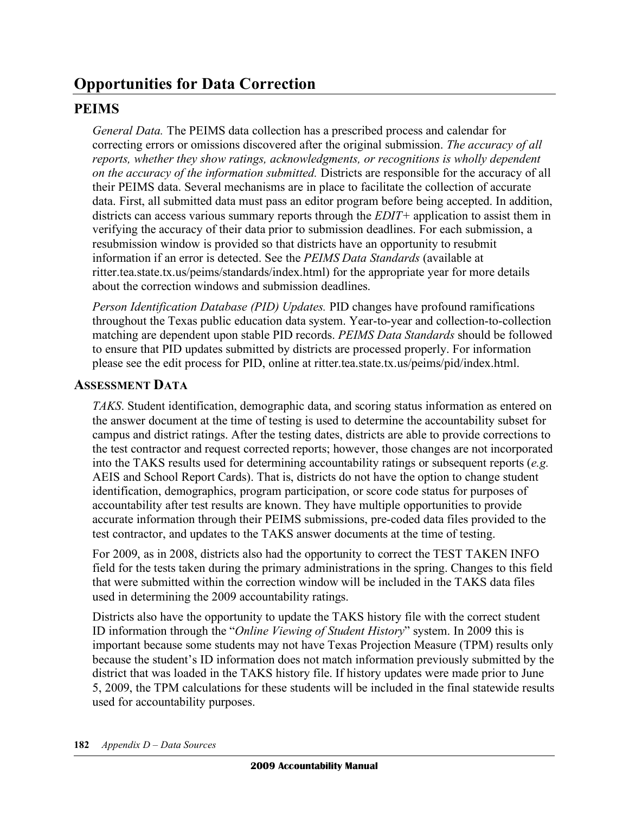## **Opportunities for Data Correction**

## **PEIMS**

General Data. The PEIMS data collection has a prescribed process and calendar for correcting errors or omissions discovered after the original submission. *The accuracy of all reports, whether they show ratings, acknowledgments, or recognitions is wholly dependent on the accuracy of the information submitted.* Districts are responsible for the accuracy of all their PEIMS data. Several mechanisms are in place to facilitate the collection of accurate data. First, all submitted data must pass an editor program before being accepted. In addition, districts can access various summary reports through the *EDIT+* application to assist them in verifying the accuracy of their data prior to submission deadlines. For each submission, a resubmission window is provided so that districts have an opportunity to resubmit information if an error is detected. See the *PEIMS Data Standards* (available at ritter.tea.state.tx.us/peims/standards/index.html) for the appropriate year for more details about the correction windows and submission deadlines.

 *Person Identification Database (PID) Updates.* PID changes have profound ramifications throughout the Texas public education data system. Year-to-year and collection-to-collection matching are dependent upon stable PID records. *PEIMS Data Standards* should be followed to ensure that PID updates submitted by districts are processed properly. For information please see the edit process for PID, online at ritter.tea.state.tx.us/peims/pid/index.html.

## **ASSESSMENT DATA**

 *TAKS*. Student identification, demographic data, and scoring status information as entered on the answer document at the time of testing is used to determine the accountability subset for campus and district ratings. After the testing dates, districts are able to provide corrections to the test contractor and request corrected reports; however, those changes are not incorporated into the TAKS results used for determining accountability ratings or subsequent reports (*e.g.*  AEIS and School Report Cards). That is, districts do not have the option to change student identification, demographics, program participation, or score code status for purposes of accountability after test results are known. They have multiple opportunities to provide accurate information through their PEIMS submissions, pre-coded data files provided to the test contractor, and updates to the TAKS answer documents at the time of testing.

 For 2009, as in 2008, districts also had the opportunity to correct the TEST TAKEN INFO field for the tests taken during the primary administrations in the spring. Changes to this field that were submitted within the correction window will be included in the TAKS data files used in determining the 2009 accountability ratings.

 Districts also have the opportunity to update the TAKS history file with the correct student  ID information through the "*Online Viewing of Student History*" system. In 2009 this is important because some students may not have Texas Projection Measure (TPM) results only because the student's ID information does not match information previously submitted by the district that was loaded in the TAKS history file. If history updates were made prior to June 5, 2009, the TPM calculations for these students will be included in the final statewide results used for accountability purposes.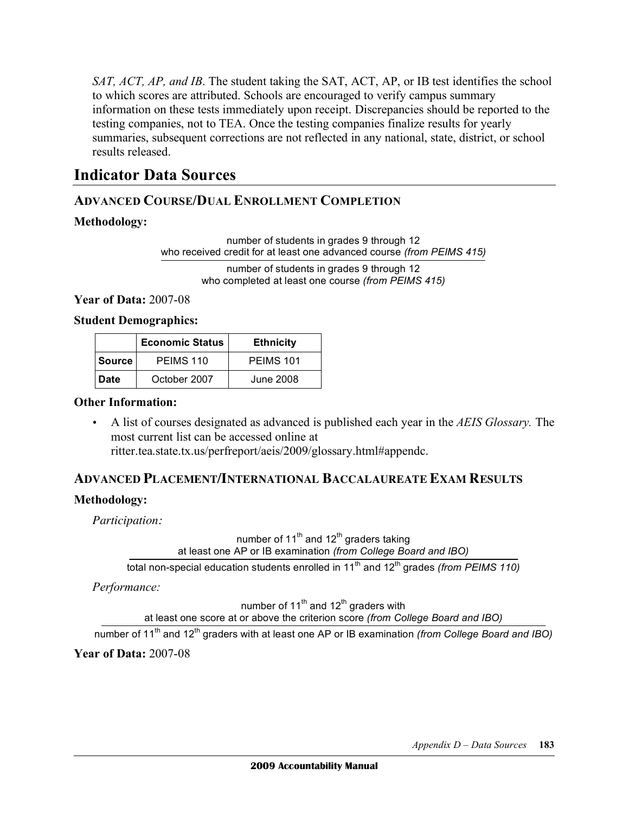SAT, ACT, AP, and IB. The student taking the SAT, ACT, AP, or IB test identifies the school to which scores are attributed. Schools are encouraged to verify campus summary information on these tests immediately upon receipt. Discrepancies should be reported to the testing companies, not to TEA. Once the testing companies finalize results for yearly summaries, subsequent corrections are not reflected in any national, state, district, or school results released.

## **Indicator Data Sources**

## **ADVANCED COURSE/DUAL ENROLLMENT COMPLETION**

#### **Methodology:**

 number of students in grades 9 through 12 who received credit for at least one advanced course *(from PEIMS 415)* 

> number of students in grades 9 through 12 who completed at least one course *(from PEIMS 415)*

 **Year of Data:** 2007-08

**Student Demographics:** 

|                        | <b>Economic Status</b> | <b>Ethnicity</b> |
|------------------------|------------------------|------------------|
| <b>Source</b>          | PEIMS 110              | PEIMS 101        |
| October 2007<br>l Date |                        | June 2008        |

#### **Other Information:**

 • A list of courses designated as advanced is published each year in the *AEIS Glossary.* The most current list can be accessed online at ritter.tea.state.tx.us/perfreport/aeis/2009/glossary.html#appendc.

## **ADVANCED PLACEMENT/INTERNATIONAL BACCALAUREATE EXAM RESULTS**

## **Methodology:**

*Participation:* 

number of 11<sup>th</sup> and 12<sup>th</sup> graders taking at least one AP or IB examination *(from College Board and IBO)*

total non-special education students enrolled in 11<sup>th</sup> and 12<sup>th</sup> grades *(from PEIMS 110)* 

*Performance:* 

number of 11<sup>th</sup> and 12<sup>th</sup> graders with at least one score at or above the criterion score *(from College Board and IBO)*

number of 11<sup>th</sup> and 12<sup>th</sup> graders with at least one AP or IB examination *(from College Board and IBO)* 

 **Year of Data:** 2007-08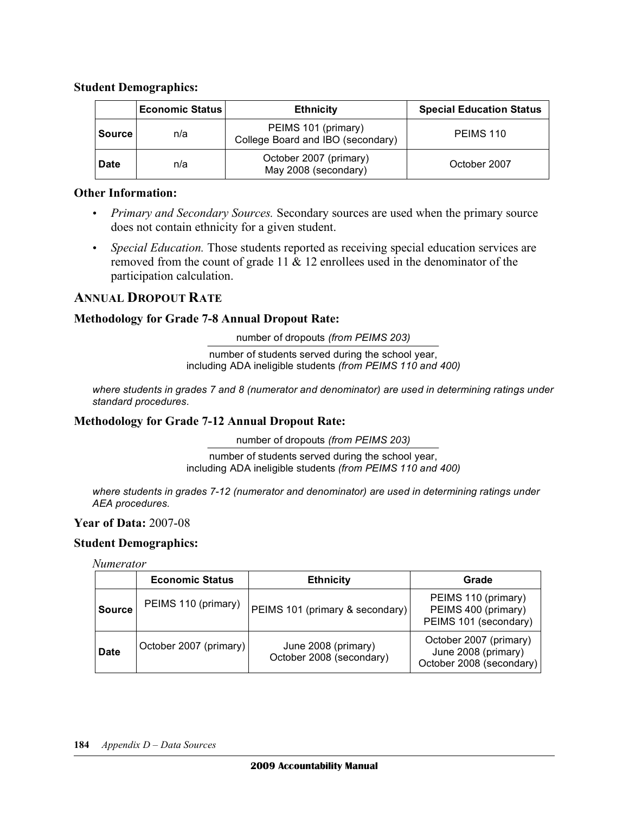#### **Student Demographics:**

|               | <b>Economic Status</b> | <b>Ethnicity</b>                                         | <b>Special Education Status</b> |
|---------------|------------------------|----------------------------------------------------------|---------------------------------|
| <b>Source</b> | n/a                    | PEIMS 101 (primary)<br>College Board and IBO (secondary) | PEIMS 110                       |
| <b>Date</b>   | n/a                    | October 2007 (primary)<br>May 2008 (secondary)           | October 2007                    |

#### **Other Information:**

- *Primary and Secondary Sources*. Secondary sources are used when the primary source does not contain ethnicity for a given student.
- *Special Education*. Those students reported as receiving special education services are removed from the count of grade 11 & 12 enrollees used in the denominator of the participation calculation.

## **ANNUAL DROPOUT RATE**

#### **Methodology for Grade 7-8 Annual Dropout Rate:**

number of dropouts *(from PEIMS 203)* 

 number of students served during the school year, including ADA ineligible students *(from PEIMS 110 and 400)*

 *where students in grades 7 and 8 (numerator and denominator) are used in determining ratings under standard procedures.* 

#### **Methodology for Grade 7-12 Annual Dropout Rate:**

number of dropouts *(from PEIMS 203)*

 number of students served during the school year, including ADA ineligible students *(from PEIMS 110 and 400)*

 *where students in grades 7-12 (numerator and denominator) are used in determining ratings under AEA procedures.* 

#### **Year of Data:** 2007-08

#### **Student Demographics:**

#### *Numerator*

|               | <b>Economic Status</b> | <b>Ethnicity</b>                                | Grade                                                                     |
|---------------|------------------------|-------------------------------------------------|---------------------------------------------------------------------------|
| <b>Source</b> | PEIMS 110 (primary)    | PEIMS 101 (primary & secondary)                 | PEIMS 110 (primary)<br>PEIMS 400 (primary)<br>PEIMS 101 (secondary)       |
| <b>Date</b>   | October 2007 (primary) | June 2008 (primary)<br>October 2008 (secondary) | October 2007 (primary)<br>June 2008 (primary)<br>October 2008 (secondary) |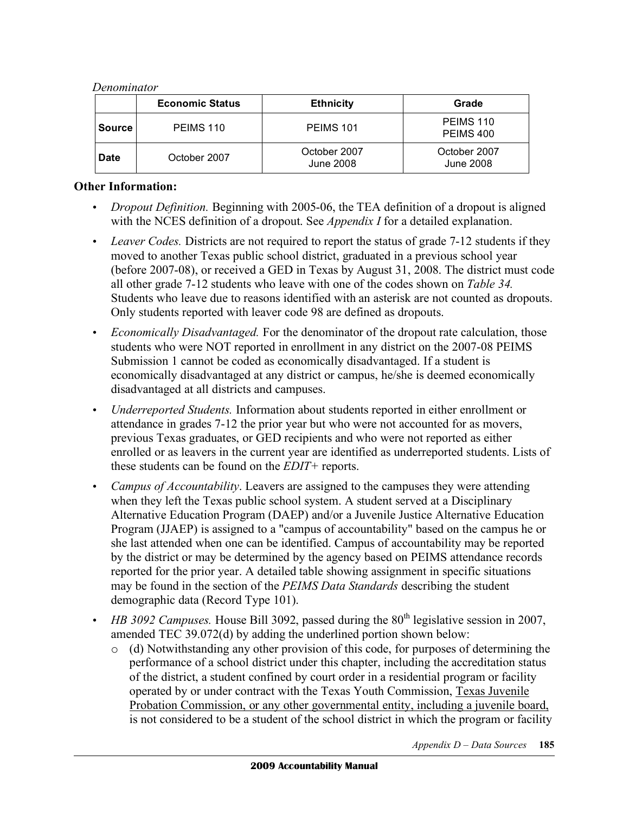#### *Denominator*

|               | <b>Economic Status</b> | <b>Ethnicity</b>          | Grade                     |
|---------------|------------------------|---------------------------|---------------------------|
| <b>Source</b> | PEIMS 110              | PEIMS 101                 | PEIMS 110<br>PEIMS 400    |
| <b>Date</b>   | October 2007           | October 2007<br>June 2008 | October 2007<br>June 2008 |

#### **Other Information:**

- *Dropout Definition*. Beginning with 2005-06, the TEA definition of a dropout is aligned with the NCES definition of a dropout. See *Appendix I* for a detailed explanation.
- Leaver Codes. Districts are not required to report the status of grade 7-12 students if they moved to another Texas public school district, graduated in a previous school year (before 2007-08), or received a GED in Texas by August 31, 2008. The district must code all other grade 7-12 students who leave with one of the codes shown on *Table 34.*  Students who leave due to reasons identified with an asterisk are not counted as dropouts. Only students reported with leaver code 98 are defined as dropouts.
- • *Economically Disadvantaged.* For the denominator of the dropout rate calculation, those students who were NOT reported in enrollment in any district on the 2007-08 PEIMS Submission 1 cannot be coded as economically disadvantaged. If a student is economically disadvantaged at any district or campus, he/she is deemed economically disadvantaged at all districts and campuses.
- • *Underreported Students.* Information about students reported in either enrollment or attendance in grades 7-12 the prior year but who were not accounted for as movers, previous Texas graduates, or GED recipients and who were not reported as either enrolled or as leavers in the current year are identified as underreported students. Lists of these students can be found on the *EDIT+* reports.
- *Campus of Accountability*. Leavers are assigned to the campuses they were attending when they left the Texas public school system. A student served at a Disciplinary Alternative Education Program (DAEP) and/or a Juvenile Justice Alternative Education Program (JJAEP) is assigned to a "campus of accountability" based on the campus he or she last attended when one can be identified. Campus of accountability may be reported by the district or may be determined by the agency based on PEIMS attendance records reported for the prior year. A detailed table showing assignment in specific situations may be found in the section of the *PEIMS Data Standards* describing the student demographic data (Record Type 101).
- *HB 3092 Campuses.* House Bill 3092, passed during the 80<sup>th</sup> legislative session in 2007, amended TEC 39.072(d) by adding the underlined portion shown below:
	- o (d) Notwithstanding any other provision of this code, for purposes of determining the performance of a school district under this chapter, including the accreditation status of the district, a student confined by court order in a residential program or facility operated by or under contract with the Texas Youth Commission, Texas Juvenile Probation Commission, or any other governmental entity, including a juvenile board, is not considered to be a student of the school district in which the program or facility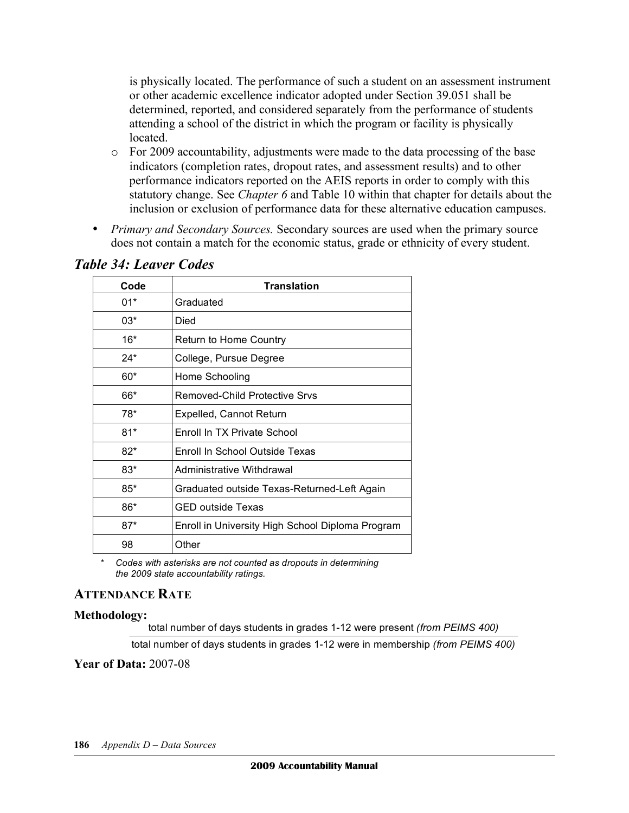is physically located. The performance of such a student on an assessment instrument or other academic excellence indicator adopted under Section 39.051 shall be determined, reported, and considered separately from the performance of students attending a school of the district in which the program or facility is physically located.

- o For 2009 accountability, adjustments were made to the data processing of the base indicators (completion rates, dropout rates, and assessment results) and to other performance indicators reported on the AEIS reports in order to comply with this statutory change. See *Chapter 6* and Table 10 within that chapter for details about the inclusion or exclusion of performance data for these alternative education campuses.
- *Primary and Secondary Sources*. Secondary sources are used when the primary source does not contain a match for the economic status, grade or ethnicity of every student.

| Code  | <b>Translation</b>                               |  |
|-------|--------------------------------------------------|--|
| $01*$ | Graduated                                        |  |
| $03*$ | Died                                             |  |
| $16*$ | Return to Home Country                           |  |
| $24*$ | College, Pursue Degree                           |  |
| 60*   | Home Schooling                                   |  |
| 66*   | Removed-Child Protective Srvs                    |  |
| 78*   | <b>Expelled, Cannot Return</b>                   |  |
| $81*$ | Enroll In TX Private School                      |  |
| $82*$ | Enroll In School Outside Texas                   |  |
| $83*$ | Administrative Withdrawal                        |  |
| $85*$ | Graduated outside Texas-Returned-Left Again      |  |
| 86*   | <b>GED outside Texas</b>                         |  |
| $87*$ | Enroll in University High School Diploma Program |  |
| 98    | Other                                            |  |

## *Table 34: Leaver Codes*

 \* *Codes with asterisks are not counted as dropouts in determining the 2009 state accountability ratings.*

#### **ATTENDANCE RATE**

#### **Methodology:**

total number of days students in grades 1-12 were present *(from PEIMS 400)* 

total number of days students in grades 1-12 were in membership *(from PEIMS 400)* 

 **Year of Data:** 2007-08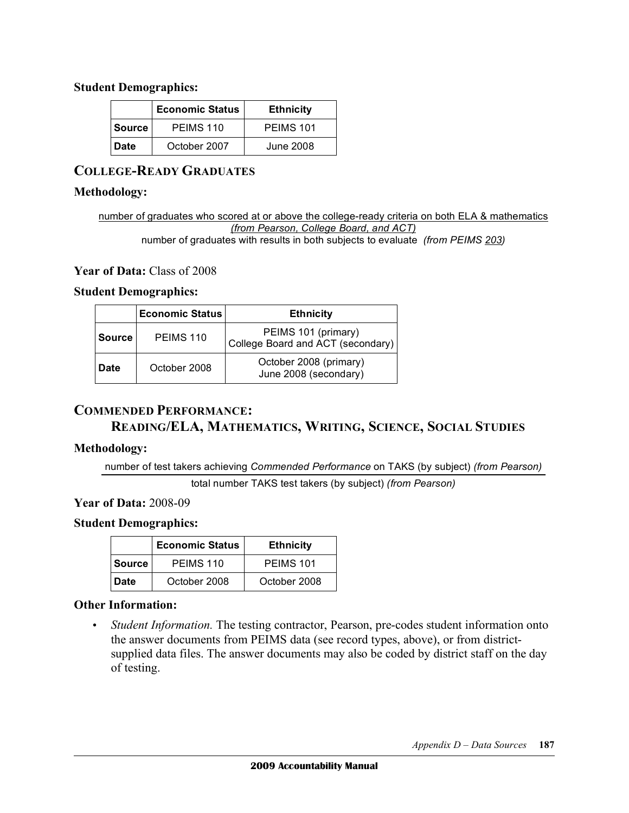#### **Student Demographics:**

| <b>Economic Status</b> |              | <b>Ethnicity</b> |
|------------------------|--------------|------------------|
| <b>Source</b>          | PEIMS 110    | PEIMS 101        |
| <b>Date</b>            | October 2007 | June 2008        |

## **COLLEGE-READY GRADUATES**

#### **Methodology:**

 number of graduates who scored at or above the college-ready criteria on both ELA & mathematics  *(from Pearson, College Board, and ACT)*  number of graduates with results in both subjects to evaluate *(from PEIMS 203)* 

#### **Year of Data:** Class of 2008

#### **Student Demographics:**

|               | <b>Economic Status</b> | <b>Ethnicity</b>                                         |
|---------------|------------------------|----------------------------------------------------------|
| <b>Source</b> | PEIMS 110              | PEIMS 101 (primary)<br>College Board and ACT (secondary) |
| <b>Date</b>   | October 2008           | October 2008 (primary)<br>June 2008 (secondary)          |

## **COMMENDED PERFORMANCE:**

## **READING/ELA, MATHEMATICS, WRITING, SCIENCE, SOCIAL STUDIES**

#### **Methodology:**

number of test takers achieving *Commended Performance* on TAKS (by subject) *(from Pearson)* 

total number TAKS test takers (by subject) *(from Pearson)* 

#### **Year of Data:** 2008-09

#### **Student Demographics:**

|               | <b>Economic Status</b> | <b>Ethnicity</b> |
|---------------|------------------------|------------------|
| <b>Source</b> | PEIMS 110              | PEIMS 101        |
| Date          | October 2008           | October 2008     |

#### **Other Information:**

 • *Student Information.* The testing contractor, Pearson, pre-codes student information onto the answer documents from PEIMS data (see record types, above), or from district- supplied data files. The answer documents may also be coded by district staff on the day of testing.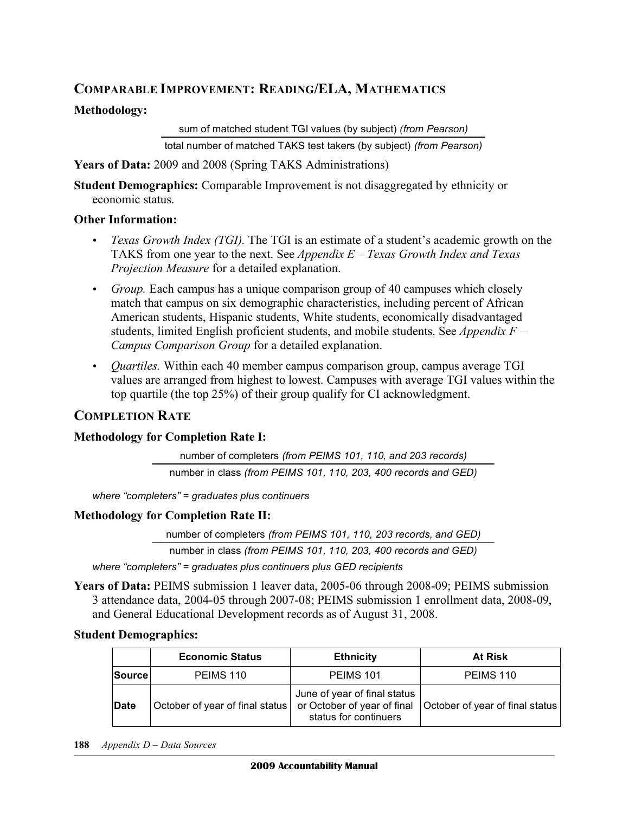## **COMPARABLE IMPROVEMENT: READING/ELA, MATHEMATICS**

#### **Methodology:**

 sum of matched student TGI values (by subject) *(from Pearson)* total number of matched TAKS test takers (by subject) *(from Pearson)*

 **Years of Data:** 2009 and 2008 (Spring TAKS Administrations)

 **Student Demographics:** Comparable Improvement is not disaggregated by ethnicity or economic status.

#### **Other Information:**

- *Texas Growth Index (TGI)*. The TGI is an estimate of a student's academic growth on the TAKS from one year to the next. See *Appendix E – Texas Growth Index and Texas Projection Measure* for a detailed explanation.
- • *Group.* Each campus has a unique comparison group of 40 campuses which closely match that campus on six demographic characteristics, including percent of African American students, Hispanic students, White students, economically disadvantaged students, limited English proficient students, and mobile students. See *Appendix F – Campus Comparison Group* for a detailed explanation.
- • *Quartiles.* Within each 40 member campus comparison group, campus average TGI values are arranged from highest to lowest. Campuses with average TGI values within the top quartile (the top 25%) of their group qualify for CI acknowledgment.

## **COMPLETION RATE**

#### **Methodology for Completion Rate I:**

 number of completers *(from PEIMS 101, 110, and 203 records)*  number in class *(from PEIMS 101, 110, 203, 400 records and GED)* 

 *where "completers" = graduates plus continuers* 

#### **Methodology for Completion Rate II:**

number of completers *(from PEIMS 101, 110, 203 records, and GED)* 

number in class *(from PEIMS 101, 110, 203, 400 records and GED)* 

 *where "completers" = graduates plus continuers plus GED recipients* 

Years of Data: PEIMS submission 1 leaver data, 2005-06 through 2008-09; PEIMS submission 3 attendance data, 2004-05 through 2007-08; PEIMS submission 1 enrollment data, 2008-09, and General Educational Development records as of August 31, 2008.

#### **Student Demographics:**

|              | <b>Economic Status</b>          | <b>Ethnicity</b>                                      | <b>At Risk</b>                                                |
|--------------|---------------------------------|-------------------------------------------------------|---------------------------------------------------------------|
| Source       | PEIMS 110                       | <b>PEIMS 101</b>                                      | PEIMS 110                                                     |
| <b>IDate</b> | October of year of final status | June of year of final status<br>status for continuers | or October of year of final   October of year of final status |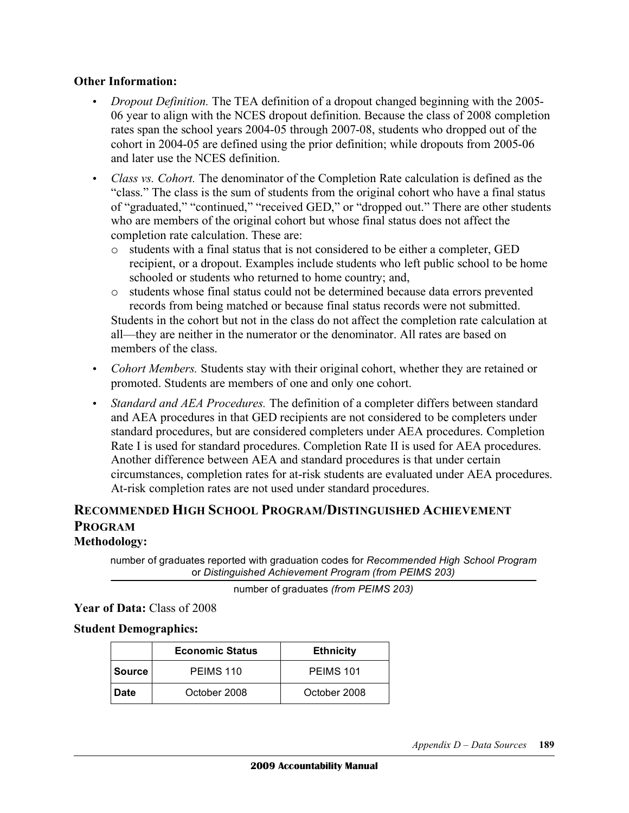## **Other Information:**

- *Dropout Definition*. The TEA definition of a dropout changed beginning with the 2005- 06 year to align with the NCES dropout definition. Because the class of 2008 completion rates span the school years 2004-05 through 2007-08, students who dropped out of the cohort in 2004-05 are defined using the prior definition; while dropouts from 2005-06 and later use the NCES definition.
- *Class vs. Cohort.* The denominator of the Completion Rate calculation is defined as the "class." The class is the sum of students from the original cohort who have a final status of "graduated," "continued," "received GED," or "dropped out." There are other students who are members of the original cohort but whose final status does not affect the completion rate calculation. These are:
	- o students with a final status that is not considered to be either a completer, GED recipient, or a dropout. Examples include students who left public school to be home schooled or students who returned to home country; and,
	- o students whose final status could not be determined because data errors prevented records from being matched or because final status records were not submitted. Students in the cohort but not in the class do not affect the completion rate calculation at all—they are neither in the numerator or the denominator. All rates are based on

members of the class.

- *Cohort Members*. Students stay with their original cohort, whether they are retained or promoted. Students are members of one and only one cohort.
- Standard and AEA Procedures. The definition of a completer differs between standard and AEA procedures in that GED recipients are not considered to be completers under standard procedures, but are considered completers under AEA procedures. Completion Rate I is used for standard procedures. Completion Rate II is used for AEA procedures. Another difference between AEA and standard procedures is that under certain circumstances, completion rates for at-risk students are evaluated under AEA procedures. At-risk completion rates are not used under standard procedures.

## **RECOMMENDED HIGH SCHOOL PROGRAM/DISTINGUISHED ACHIEVEMENT PROGRAM**

## **Methodology:**

 number of graduates reported with graduation codes for *Recommended High School Program*  or *Distinguished Achievement Program (from PEIMS 203)* 

number of graduates *(from PEIMS 203)*

 **Year of Data:** Class of 2008

#### **Student Demographics:**

|             | <b>Economic Status</b> | <b>Ethnicity</b> |
|-------------|------------------------|------------------|
| l Source    | PEIMS 110              | PEIMS 101        |
| <b>Date</b> | October 2008           | October 2008     |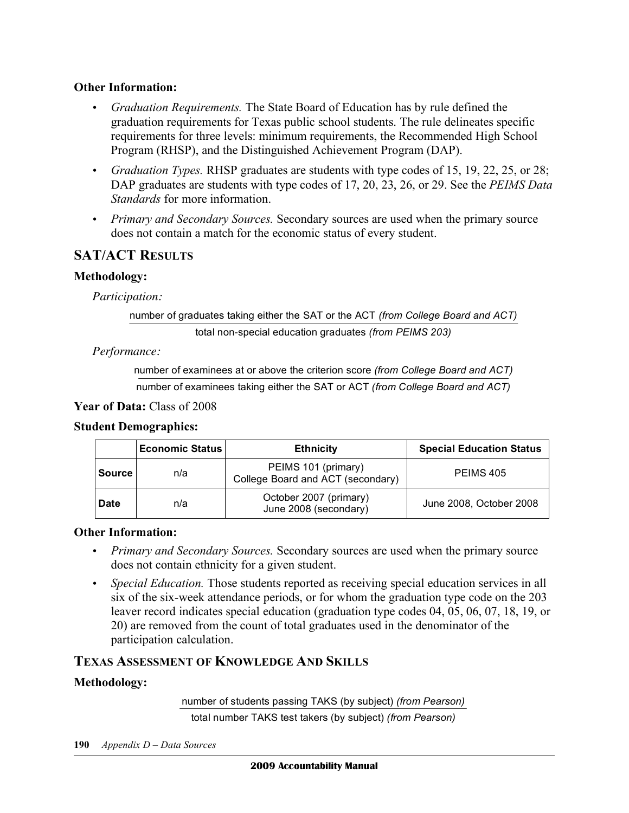## **Other Information:**

- • *Graduation Requirements.* The State Board of Education has by rule defined the graduation requirements for Texas public school students. The rule delineates specific requirements for three levels: minimum requirements, the Recommended High School Program (RHSP), and the Distinguished Achievement Program (DAP).
- • *Graduation Types.* RHSP graduates are students with type codes of 15, 19, 22, 25, or 28; DAP graduates are students with type codes of 17, 20, 23, 26, or 29. See the *PEIMS Data Standards* for more information.
- *Primary and Secondary Sources*. Secondary sources are used when the primary source does not contain a match for the economic status of every student.

## **SAT/ACT RESULTS**

## **Methodology:**

*Participation:* 

number of graduates taking either the SAT or the ACT *(from College Board and ACT)* 

total non-special education graduates *(from PEIMS 203)* 

*Performance:* 

number of examinees at or above the criterion score *(from College Board and ACT)* 

number of examinees taking either the SAT or ACT *(from College Board and ACT)* 

 **Year of Data:** Class of 2008

#### **Student Demographics:**

|             | <b>Economic Status</b> | <b>Ethnicity</b>                                         | <b>Special Education Status</b> |
|-------------|------------------------|----------------------------------------------------------|---------------------------------|
| Source      | n/a                    | PEIMS 101 (primary)<br>College Board and ACT (secondary) | PEIMS 405                       |
| <b>Date</b> | n/a                    | October 2007 (primary)<br>June 2008 (secondary)          | June 2008, October 2008         |

#### **Other Information:**

- *Primary and Secondary Sources*. Secondary sources are used when the primary source does not contain ethnicity for a given student.
- *Special Education*. Those students reported as receiving special education services in all six of the six-week attendance periods, or for whom the graduation type code on the 203 leaver record indicates special education (graduation type codes 04, 05, 06, 07, 18, 19, or 20) are removed from the count of total graduates used in the denominator of the participation calculation.

## **TEXAS ASSESSMENT OF KNOWLEDGE AND SKILLS**

## **Methodology:**

 number of students passing TAKS (by subject) *(from Pearson)*  total number TAKS test takers (by subject) *(from Pearson)*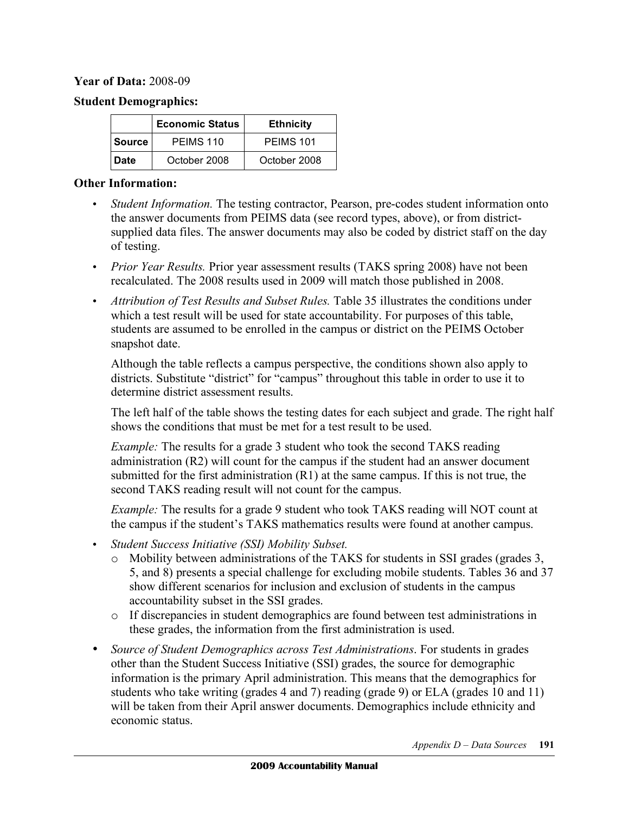#### **Year of Data:** 2008-09

#### **Student Demographics:**

|               | <b>Economic Status</b> | <b>Ethnicity</b> |
|---------------|------------------------|------------------|
| <b>Source</b> | PEIMS 110              | <b>PEIMS 101</b> |
| <b>Date</b>   | October 2008           | October 2008     |

#### **Other Information:**

- • *Student Information.* The testing contractor, Pearson, pre-codes student information onto the answer documents from PEIMS data (see record types, above), or from district- supplied data files. The answer documents may also be coded by district staff on the day of testing.
- *Prior Year Results*. Prior year assessment results (TAKS spring 2008) have not been recalculated. The 2008 results used in 2009 will match those published in 2008.
- *Attribution of Test Results and Subset Rules*. Table 35 illustrates the conditions under which a test result will be used for state accountability. For purposes of this table, students are assumed to be enrolled in the campus or district on the PEIMS October snapshot date.

 Although the table reflects a campus perspective, the conditions shown also apply to districts. Substitute "district" for "campus" throughout this table in order to use it to determine district assessment results.

 The left half of the table shows the testing dates for each subject and grade. The right half shows the conditions that must be met for a test result to be used.

*Example:* The results for a grade 3 student who took the second TAKS reading administration (R2) will count for the campus if the student had an answer document submitted for the first administration (R1) at the same campus. If this is not true, the second TAKS reading result will not count for the campus.

 *Example:* The results for a grade 9 student who took TAKS reading will NOT count at the campus if the student's TAKS mathematics results were found at another campus.

- • *Student Success Initiative (SSI) Mobility Subset.* 
	- o Mobility between administrations of the TAKS for students in SSI grades (grades 3, 5, and 8) presents a special challenge for excluding mobile students. Tables 36 and 37 show different scenarios for inclusion and exclusion of students in the campus accountability subset in the SSI grades.
	- o If discrepancies in student demographics are found between test administrations in these grades, the information from the first administration is used.
- Source of Student Demographics across Test Administrations. For students in grades other than the Student Success Initiative (SSI) grades, the source for demographic information is the primary April administration. This means that the demographics for students who take writing (grades 4 and 7) reading (grade 9) or ELA (grades 10 and 11) will be taken from their April answer documents. Demographics include ethnicity and economic status.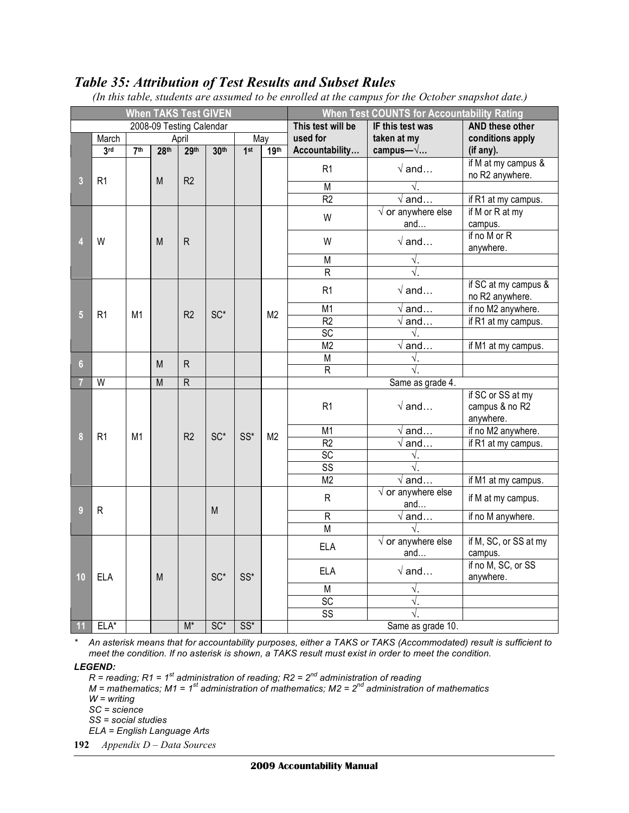## *Table 35: Attribution of Test Results and Subset Rules*

| <b>When TAKS Test GIVEN</b> |                |                 |                   | <b>When Test COUNTS for Accountability Rating</b> |                        |        |                  |                         |                                 |                                                  |
|-----------------------------|----------------|-----------------|-------------------|---------------------------------------------------|------------------------|--------|------------------|-------------------------|---------------------------------|--------------------------------------------------|
| 2008-09 Testing Calendar    |                |                 | This test will be | IF this test was                                  | <b>AND these other</b> |        |                  |                         |                                 |                                                  |
|                             | March          |                 |                   | April                                             |                        | May    |                  | used for                | taken at my                     | conditions apply                                 |
|                             | 3rd            | 7 <sup>th</sup> | 28 <sup>th</sup>  | 29 <sup>th</sup>                                  | 30th                   | 1st    | 19 <sup>th</sup> | Accountability          | campus— $\sqrt{}$               | (if any).                                        |
| 3                           | R <sub>1</sub> |                 | M                 | R <sub>2</sub>                                    |                        |        |                  | R1                      | $\sqrt{a}$ and                  | if M at my campus &<br>no R2 anywhere.           |
|                             |                |                 |                   |                                                   |                        |        |                  | $\overline{M}$          | √.                              |                                                  |
|                             |                |                 |                   |                                                   |                        |        |                  | $\overline{R2}$         | $\sqrt{a}$ nd                   | if R1 at my campus.                              |
|                             |                |                 |                   |                                                   |                        |        |                  | W                       | $\sqrt{}$ or anywhere else      | if M or R at my                                  |
|                             |                |                 |                   |                                                   |                        |        |                  |                         | and                             | campus.                                          |
|                             | W              |                 | M                 | $\mathsf R$                                       |                        |        |                  | W                       | $\sqrt{a}$ nd                   | if no M or R<br>anywhere.                        |
|                             |                |                 |                   |                                                   |                        |        |                  | M                       | $\sqrt{\ }$                     |                                                  |
|                             |                |                 |                   |                                                   |                        |        |                  | $\overline{\mathsf{R}}$ |                                 |                                                  |
|                             |                |                 |                   |                                                   |                        |        |                  | R <sub>1</sub>          | $\sqrt{a}$ nd                   | if SC at my campus &<br>no R2 anywhere.          |
|                             | R <sub>1</sub> | M1              |                   | R <sub>2</sub>                                    | SC <sup>*</sup>        |        | M <sub>2</sub>   | M <sub>1</sub>          | $\sqrt{a}$ and                  | if no M2 anywhere.                               |
| 5                           |                |                 |                   |                                                   |                        |        |                  | R <sub>2</sub>          | $\sqrt{a}$ nd                   | if R1 at my campus.                              |
|                             |                |                 |                   |                                                   |                        |        |                  | <b>SC</b>               | $\sqrt{ }$ .                    |                                                  |
|                             |                |                 |                   |                                                   |                        |        |                  | $\overline{M2}$         | $\sqrt{and}$                    | if M1 at my campus.                              |
| $6\phantom{.}$              |                |                 | M                 | $\mathsf{R}$                                      |                        |        |                  | $\overline{M}$          | $\sqrt{ }$ .                    |                                                  |
|                             |                |                 |                   |                                                   |                        |        |                  | $\overline{R}$          | $\sqrt{ }$                      |                                                  |
|                             | $\overline{W}$ |                 | $\overline{M}$    | $\overline{R}$                                    |                        |        |                  |                         | Same as grade 4.                |                                                  |
|                             |                |                 |                   |                                                   |                        |        |                  | R <sub>1</sub>          | $\sqrt{a}$ and                  | if SC or SS at my<br>campus & no R2<br>anywhere. |
| 8                           | R <sub>1</sub> | M1              |                   | R <sub>2</sub>                                    | SC <sup>*</sup>        | SS*    | M <sub>2</sub>   | M1                      | $\sqrt{a}$ and                  | if no M2 anywhere.                               |
|                             |                |                 |                   |                                                   |                        |        |                  | R <sub>2</sub>          | $\sqrt{a}$ nd                   | if R1 at my campus.                              |
|                             |                |                 |                   |                                                   |                        |        |                  | $\overline{SC}$         | $\sqrt{ }$ .                    |                                                  |
|                             |                |                 |                   |                                                   |                        |        |                  | $\overline{\text{SS}}$  | $\sqrt{ }$                      |                                                  |
|                             |                |                 |                   |                                                   |                        |        |                  | $\overline{M2}$         | $\sqrt{a}$ nd                   | if M1 at my campus.                              |
| 9                           | ${\sf R}$      |                 |                   |                                                   | M                      |        |                  | R                       | $\sqrt$ or anywhere else<br>and | if M at my campus.                               |
|                             |                |                 |                   |                                                   |                        |        |                  | $\overline{R}$          | $\sqrt{a}$ and                  | if no M anywhere.                                |
|                             |                |                 |                   |                                                   |                        |        |                  | $\overline{M}$          | $\sqrt{ }$                      |                                                  |
|                             |                |                 |                   |                                                   |                        |        |                  | <b>ELA</b>              | $\sqrt$ or anywhere else<br>and | if M, SC, or SS at my                            |
| 10                          | <b>ELA</b>     |                 | M                 |                                                   | $SC^*$                 | SS*    |                  | <b>ELA</b>              | $\sqrt{and}$                    | campus.<br>if no M, SC, or SS<br>anywhere.       |
|                             |                |                 |                   |                                                   |                        |        |                  | M                       | √.                              |                                                  |
|                             |                |                 |                   |                                                   |                        |        |                  | <b>SC</b>               | $\sqrt{ }$                      |                                                  |
|                             |                |                 |                   |                                                   |                        |        |                  | $\overline{\text{SS}}$  | √.                              |                                                  |
| 11                          | ELA*           |                 |                   | $\overline{M^*}$                                  | $SC*$                  | $SS^*$ |                  |                         | Same as grade 10.               |                                                  |

*(In this table, students are assumed to be enrolled at the campus for the October snapshot date.)* 

 *\* An asterisk means that for accountability purposes, either a TAKS or TAKS (Accommodated) result is sufficient to meet the condition. If no asterisk is shown, a TAKS result must exist in order to meet the condition.* 

*LEGEND:*

 *R = reading; R1 = 1st administration of reading; R2 = 2nd administration of reading M = mathematics; M1 = 1st administration of mathematics; M2 = 2nd administration of mathematics*

 *W = writing*

 *SC = science*

 *SS = social studies*

 *ELA = English Language Arts*

 **192** *Appendix D – Data Sources*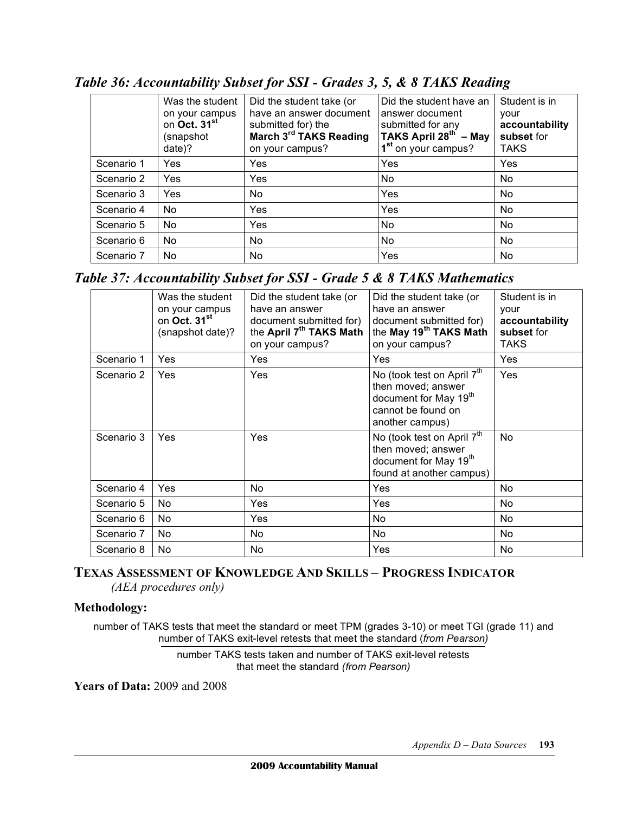|            | Was the student<br>on your campus<br>on Oct. 31 <sup>st</sup><br>(snapshot<br>date)? | Did the student take (or<br>have an answer document<br>submitted for) the<br>March 3rd TAKS Reading<br>on your campus? | Did the student have an<br>answer document<br>submitted for any<br>TAKS April $28^{th}$ – May<br>1 <sup>st</sup> on your campus? | Student is in<br>vour<br>accountability<br>subset for<br><b>TAKS</b> |
|------------|--------------------------------------------------------------------------------------|------------------------------------------------------------------------------------------------------------------------|----------------------------------------------------------------------------------------------------------------------------------|----------------------------------------------------------------------|
| Scenario 1 | Yes                                                                                  | Yes                                                                                                                    | Yes                                                                                                                              | Yes                                                                  |
| Scenario 2 | Yes                                                                                  | Yes                                                                                                                    | No                                                                                                                               | No                                                                   |
| Scenario 3 | Yes                                                                                  | No.                                                                                                                    | Yes                                                                                                                              | No                                                                   |
| Scenario 4 | No                                                                                   | Yes                                                                                                                    | Yes                                                                                                                              | No                                                                   |
| Scenario 5 | <b>No</b>                                                                            | Yes                                                                                                                    | No                                                                                                                               | <b>No</b>                                                            |
| Scenario 6 | No.                                                                                  | No.                                                                                                                    | No.                                                                                                                              | No                                                                   |
| Scenario 7 | No                                                                                   | No                                                                                                                     | Yes                                                                                                                              | No                                                                   |

 *Table 36: Accountability Subset for SSI - Grades 3, 5, & 8 TAKS Reading* 

 *Table 37: Accountability Subset for SSI - Grade 5 & 8 TAKS Mathematics* 

|            | Was the student<br>on your campus<br>on Oct. 31 <sup>st</sup><br>(snapshot date)? | Did the student take (or<br>have an answer<br>document submitted for)<br>the April 7 <sup>th</sup> TAKS Math<br>on your campus? | Did the student take (or<br>have an answer<br>document submitted for)<br>the May 19 <sup>th</sup> TAKS Math<br>on your campus?             | Student is in<br>your<br>accountability<br>subset for<br><b>TAKS</b> |
|------------|-----------------------------------------------------------------------------------|---------------------------------------------------------------------------------------------------------------------------------|--------------------------------------------------------------------------------------------------------------------------------------------|----------------------------------------------------------------------|
| Scenario 1 | Yes                                                                               | Yes                                                                                                                             | Yes                                                                                                                                        | Yes                                                                  |
| Scenario 2 | Yes                                                                               | Yes                                                                                                                             | No (took test on April 7 <sup>th</sup><br>then moved; answer<br>document for May 19 <sup>th</sup><br>cannot be found on<br>another campus) | Yes                                                                  |
| Scenario 3 | Yes                                                                               | Yes                                                                                                                             | No (took test on April 7 <sup>th</sup><br>then moved; answer<br>document for May 19th<br>found at another campus)                          | No.                                                                  |
| Scenario 4 | Yes                                                                               | No                                                                                                                              | Yes                                                                                                                                        | No.                                                                  |
| Scenario 5 | No.                                                                               | Yes                                                                                                                             | Yes                                                                                                                                        | No.                                                                  |
| Scenario 6 | No.                                                                               | <b>Yes</b>                                                                                                                      | No.                                                                                                                                        | No.                                                                  |
| Scenario 7 | No.                                                                               | No                                                                                                                              | No.                                                                                                                                        | No.                                                                  |
| Scenario 8 | No.                                                                               | No.                                                                                                                             | Yes                                                                                                                                        | No.                                                                  |

## *(AEA procedures only)*  **TEXAS ASSESSMENT OF KNOWLEDGE AND SKILLS – PROGRESS INDICATOR**

## **Methodology:**

 number of TAKS tests that meet the standard or meet TPM (grades 3-10) or meet TGI (grade 11) and number of TAKS exit-level retests that meet the standard (*from Pearson)* 

> number TAKS tests taken and number of TAKS exit-level retests that meet the standard *(from Pearson)*

 **Years of Data:** 2009 and 2008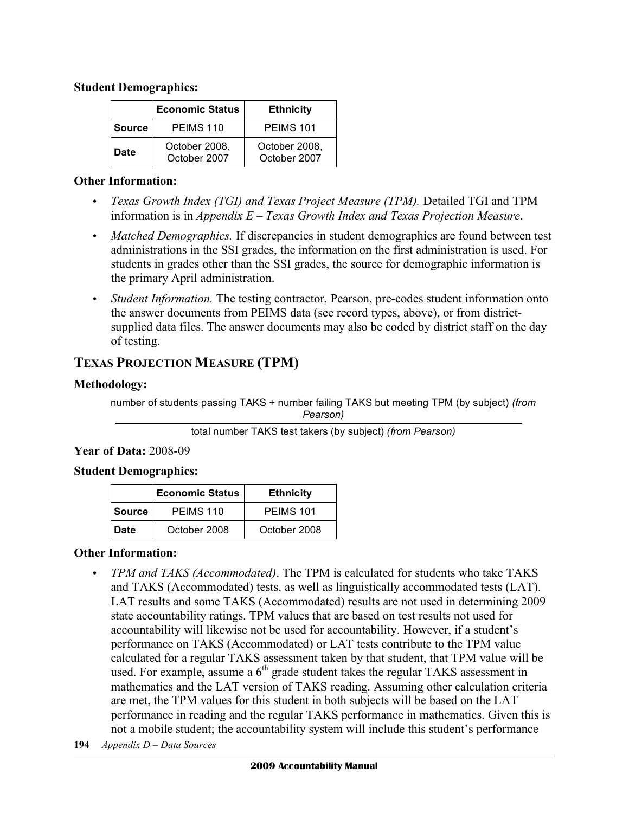#### **Student Demographics:**

|               | <b>Economic Status</b>        | <b>Ethnicity</b>              |
|---------------|-------------------------------|-------------------------------|
| <b>Source</b> | PEIMS 110                     | PEIMS 101                     |
| Date          | October 2008,<br>October 2007 | October 2008,<br>October 2007 |

#### **Other Information:**

- *Texas Growth Index (TGI) and Texas Project Measure (TPM)*. Detailed TGI and TPM  information is in *Appendix E – Texas Growth Index and Texas Projection Measure*.
- *Matched Demographics*. If discrepancies in student demographics are found between test administrations in the SSI grades, the information on the first administration is used. For students in grades other than the SSI grades, the source for demographic information is the primary April administration.
- • *Student Information.* The testing contractor, Pearson, pre-codes student information onto the answer documents from PEIMS data (see record types, above), or from district- supplied data files. The answer documents may also be coded by district staff on the day of testing.

## **TEXAS PROJECTION MEASURE (TPM)**

## **Methodology:**

 number of students passing TAKS + number failing TAKS but meeting TPM (by subject) *(from Pearson)* 

## **Year of Data:** 2008-09

## **Student Demographics:**

|        | <b>Economic Status</b> | <b>Ethnicity</b> |
|--------|------------------------|------------------|
| Source | PEIMS 110              | PEIMS 101        |
| Date   | October 2008           | October 2008     |

## **Other Information:**

- • *TPM and TAKS (Accommodated)*. The TPM is calculated for students who take TAKS and TAKS (Accommodated) tests, as well as linguistically accommodated tests (LAT). LAT results and some TAKS (Accommodated) results are not used in determining 2009 state accountability ratings. TPM values that are based on test results not used for accountability will likewise not be used for accountability. However, if a student's performance on TAKS (Accommodated) or LAT tests contribute to the TPM value calculated for a regular TAKS assessment taken by that student, that TPM value will be used. For example, assume a  $6<sup>th</sup>$  grade student takes the regular TAKS assessment in mathematics and the LAT version of TAKS reading. Assuming other calculation criteria are met, the TPM values for this student in both subjects will be based on the LAT performance in reading and the regular TAKS performance in mathematics. Given this is not a mobile student; the accountability system will include this student's performance
- **194** *Appendix D Data Sources*